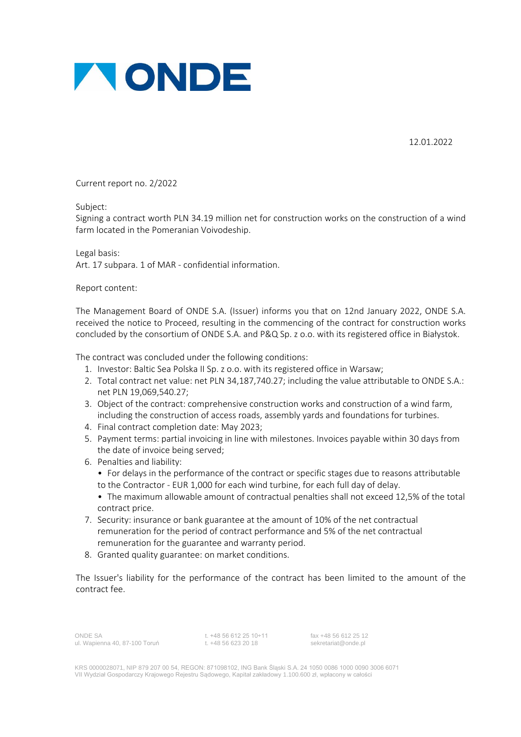

12.01.2022

Current report no. 2/2022

Subject:

Signing a contract worth PLN 34.19 million net for construction works on the construction of a wind farm located in the Pomeranian Voivodeship.

Legal basis: Art. 17 subpara. 1 of MAR - confidential information.

Report content:

The Management Board of ONDE S.A. (Issuer) informs you that on 12nd January 2022, ONDE S.A. received the notice to Proceed, resulting in the commencing of the contract for construction works concluded by the consortium of ONDE S.A. and P&Q Sp. z o.o. with its registered office in Białystok.

The contract was concluded under the following conditions:

- 1. Investor: Baltic Sea Polska II Sp. z o.o. with its registered office in Warsaw;
- 2. Total contract net value: net PLN 34,187,740.27; including the value attributable to ONDE S.A.: net PLN 19,069,540.27;
- 3. Object of the contract: comprehensive construction works and construction of a wind farm, including the construction of access roads, assembly yards and foundations for turbines.
- 4. Final contract completion date: May 2023;
- 5. Payment terms: partial invoicing in line with milestones. Invoices payable within 30 days from the date of invoice being served;
- 6. Penalties and liability:
	- For delays in the performance of the contract or specific stages due to reasons attributable to the Contractor - EUR 1,000 for each wind turbine, for each full day of delay.
	- The maximum allowable amount of contractual penalties shall not exceed 12,5% of the total contract price.
- 7. Security: insurance or bank guarantee at the amount of 10% of the net contractual remuneration for the period of contract performance and 5% of the net contractual remuneration for the guarantee and warranty period.
- 8. Granted quality guarantee: on market conditions.

The Issuer's liability for the performance of the contract has been limited to the amount of the contract fee.

ONDE SA t. +48 56 612 25 10÷11 fax +48 56 612 25 12 ul. Wapienna 40, 87-100 Toruń t. +48 56 623 20 18 sekretariat@onde.pl

KRS 0000028071, NIP 879 207 00 54, REGON: 871098102, ING Bank Śląski S.A. 24 1050 0086 1000 0090 3006 6071 VII Wydział Gospodarczy Krajowego Rejestru Sądowego, Kapitał zakładowy 1.100.600 zł, wpłacony w całości